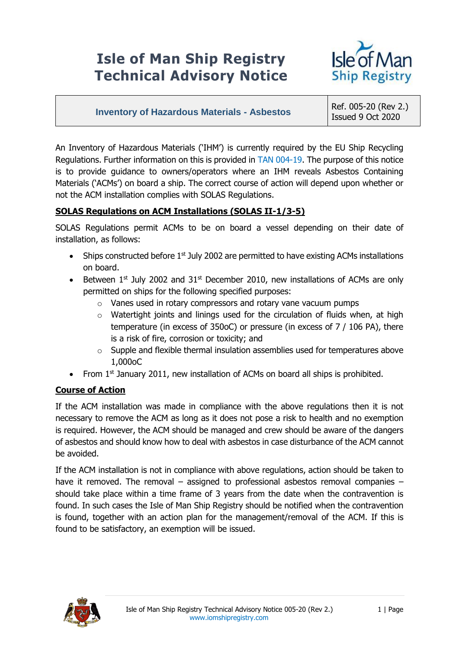# **Isle of Man Ship Registry Technical Advisory Notice**



## **Inventory of Hazardous Materials - Asbestos** Ref. 005-20 (Rev 2.)

Issued 9 Oct 2020

An Inventory of Hazardous Materials ('IHM') is currently required by the EU Ship Recycling Regulations. Further information on this is provided in [TAN 004-19.](https://www.iomshipregistry.com/media/2016/004-19-eu-ship-recycling.pdf) The purpose of this notice is to provide guidance to owners/operators where an IHM reveals Asbestos Containing Materials ('ACMs') on board a ship. The correct course of action will depend upon whether or not the ACM installation complies with SOLAS Regulations.

### **SOLAS Regulations on ACM Installations (SOLAS II-1/3-5)**

SOLAS Regulations permit ACMs to be on board a vessel depending on their date of installation, as follows:

- $\bullet$  Ships constructed before 1<sup>st</sup> July 2002 are permitted to have existing ACMs installations on board.
- **Between 1st July 2002 and 31st December 2010, new installations of ACMs are only** permitted on ships for the following specified purposes:
	- o Vanes used in rotary compressors and rotary vane vacuum pumps
	- o Watertight joints and linings used for the circulation of fluids when, at high temperature (in excess of 350oC) or pressure (in excess of 7 / 106 PA), there is a risk of fire, corrosion or toxicity; and
	- $\circ$  Supple and flexible thermal insulation assemblies used for temperatures above 1,000oC
- From  $1<sup>st</sup>$  January 2011, new installation of ACMs on board all ships is prohibited.

### **Course of Action**

If the ACM installation was made in compliance with the above regulations then it is not necessary to remove the ACM as long as it does not pose a risk to health and no exemption is required. However, the ACM should be managed and crew should be aware of the dangers of asbestos and should know how to deal with asbestos in case disturbance of the ACM cannot be avoided.

If the ACM installation is not in compliance with above regulations, action should be taken to have it removed. The removal – assigned to professional asbestos removal companies – should take place within a time frame of 3 years from the date when the contravention is found. In such cases the Isle of Man Ship Registry should be notified when the contravention is found, together with an action plan for the management/removal of the ACM. If this is found to be satisfactory, an exemption will be issued.